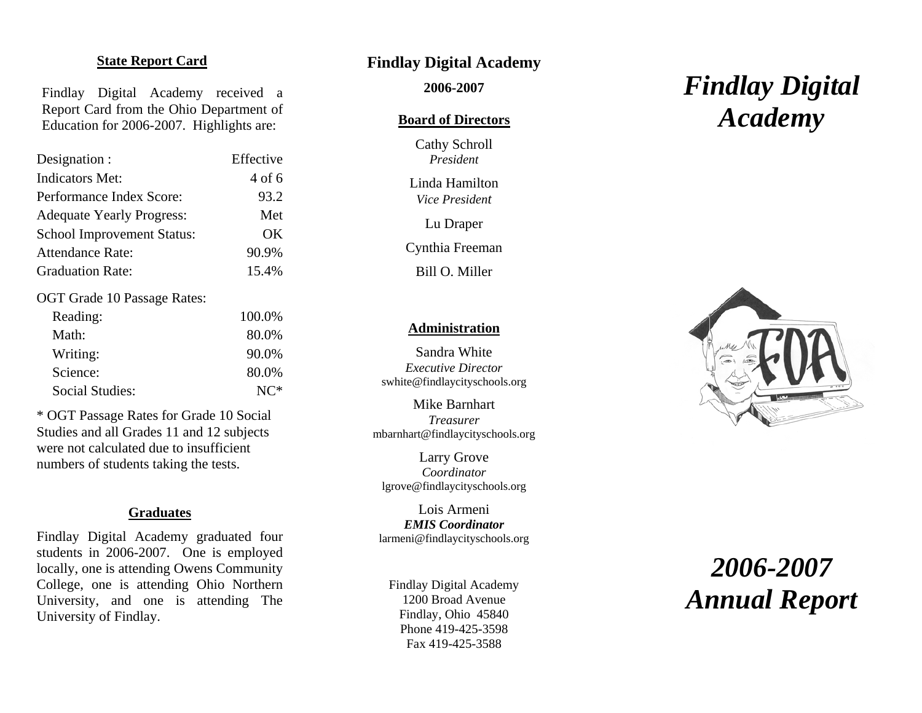## **State Report Card**

Findlay Digital Academy received a Report Card from the Ohio Department of Education for 2006-2007. Highlights are:

| Designation :                     | Effective |
|-----------------------------------|-----------|
| <b>Indicators Met:</b>            | 4 of 6    |
| Performance Index Score:          | 93.2      |
| <b>Adequate Yearly Progress:</b>  | Met       |
| <b>School Improvement Status:</b> | OK        |
| <b>Attendance Rate:</b>           | 90.9%     |
| <b>Graduation Rate:</b>           | 15.4%     |

OGT Grade 10 Passage Rates:

| Reading:        | 100.0% |
|-----------------|--------|
| Math:           | 80.0%  |
| Writing:        | 90.0%  |
| Science:        | 80.0%  |
| Social Studies: | $N^*$  |

\* OGT Passage Rates for Grade 10 Social Studies and all Grades 11 and 12 subjects were not calculated due to insufficient numbers of students taking the tests.

#### **Graduates**

Findlay Digital Academy graduated four students in 2006-2007. One is employed locally, one is attending Owens Community College, one is attending Ohio Northern University, and one is attending The University of Findlay.

# **Findlay Digital Academy**

 **2006-2007** 

#### **Board of Directors**

 Cathy Schroll *President* 

 Linda Hamilton *Vice President* 

Lu Draper

Cynthia Freeman

Bill O. Miller

#### **Administration**

 Sandra White *Executive Director* swhite@findlaycityschools.org

 Mike Barnhart *Treasurer* mbarnhart@findlaycityschools.org

 Larry Grove *Coordinator* lgrove@findlaycityschools.org

*EMIS Coordinator*Lois Armeni larmeni@findlaycityschools.org

Findlay Digital Academy 1200 Broad Avenue Findlay, Ohio 45840 Phone 419-425-3598 Fax 419-425-3588

# *Findlay Digital Academy*



# *2006-2007 Annual Report*